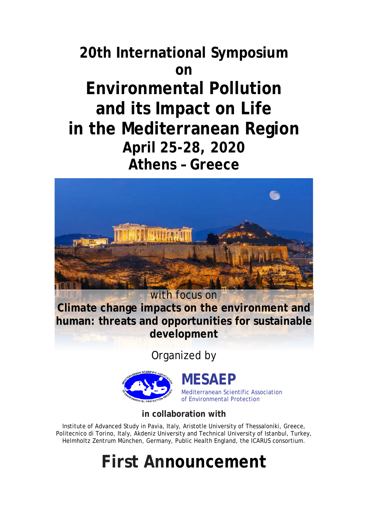## **20th International Symposium on Environmental Pollution and its Impact on Life in the Mediterranean Region April 25-28, 2020 Athens – Greece**



**Climate change impacts on the environment and human: threats and opportunities for sustainable development**

Organized by



**MESAEP**

Mediterranean Scientific Association of Environmental Protection

**in collaboration with**

Institute of Advanced Study in Pavia, Italy, Aristotle University of Thessaloniki, Greece, Politecnico di Torino, Italy, Akdeniz University and Technical University of Istanbul, Turkey, Helmholtz Zentrum München, Germany, Public Health England, the ICARUS consortium.

# **First Announcement**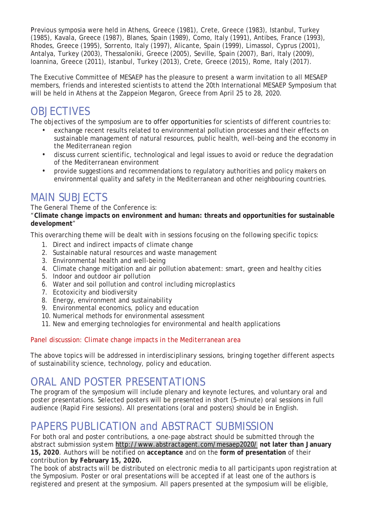Previous symposia were held in Athens, Greece (1981), Crete, Greece (1983), Istanbul, Turkey (1985), Kavala, Greece (1987), Blanes, Spain (1989), Como, Italy (1991), Antibes, France (1993), Rhodes, Greece (1995), Sorrento, Italy (1997), Alicante, Spain (1999), Limassol, Cyprus (2001), Antalya, Turkey (2003), Thessaloniki, Greece (2005), Seville, Spain (2007), Bari, Italy (2009), Ioannina, Greece (2011), Istanbul, Turkey (2013), Crete, Greece (2015), Rome, Italy (2017).

The Executive Committee of MESAEP has the pleasure to present a warm invitation to all MESAEP members, friends and interested scientists to attend the 20th International MESAEP Symposium that will be held in Athens at the Zappeion Megaron, Greece from April 25 to 28, 2020.

## OBJECTIVES

The objectives of the symposium are to offer opportunities for scientists of different countries to:

- exchange recent results related to environmental pollution processes and their effects on sustainable management of natural resources, public health, well-being and the economy in the Mediterranean region
- discuss current scientific, technological and legal issues to avoid or reduce the degradation of the Mediterranean environment
- provide suggestions and recommendations to regulatory authorities and policy makers on environmental quality and safety in the Mediterranean and other neighbouring countries.

#### MAIN SUBJECTS

The General Theme of the Conference is:

"**Climate change impacts on environment and human: threats and opportunities for sustainable development**"

This overarching theme will be dealt with in sessions focusing on the following specific topics:

- 1. Direct and indirect impacts of climate change
- 2. Sustainable natural resources and waste management
- 3. Environmental health and well-being
- 4. Climate change mitigation and air pollution abatement: smart, green and healthy cities
- 5. Indoor and outdoor air pollution
- 6. Water and soil pollution and control including microplastics
- 7. Ecotoxicity and biodiversity
- 8. Energy, environment and sustainability
- 9. Environmental economics, policy and education
- 10. Numerical methods for environmental assessment
- 11. New and emerging technologies for environmental and health applications

#### *Panel discussion: Climate change impacts in the Mediterranean area*

The above topics will be addressed in interdisciplinary sessions, bringing together different aspects of sustainability science, technology, policy and education.

#### ORAL AND POSTER PRESENTATIONS

The program of the symposium will include plenary and keynote lectures, and voluntary oral and poster presentations. Selected posters will be presented in short (5-minute) oral sessions in full audience (Rapid Fire sessions). All presentations (oral and posters) should be in English.

## PAPERS PUBLICATION and ABSTRACT SUBMISSION

For both oral and poster contributions, a one-page abstract should be submitted through the abstract submission system <http://www.abstractagent.com/mesaep2020/> **not later than January 15, 2020**. Authors will be notified on **acceptance** and on the **form of presentation** of their contribution **by February 15, 2020.**

The book of abstracts will be distributed on electronic media to all participants upon registration at the Symposium. Poster or oral presentations will be accepted if at least one of the authors is registered and present at the symposium. All papers presented at the symposium will be eligible,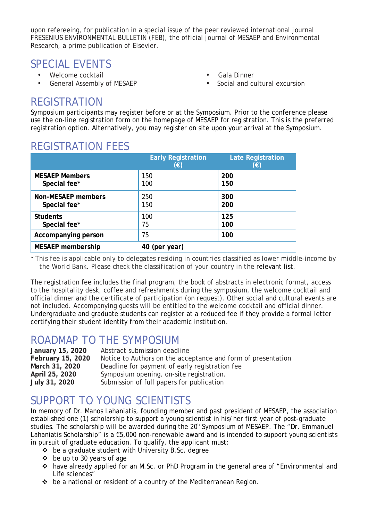upon refereeing, for publication in a special issue of the peer reviewed international journal FRESENIUS ENVIRONMENTAL BULLETIN (FEB), the official journal of MESAEP and Environmental Research, a prime publication of Elsevier.

#### SPECIAL EVENTS

- Welcome cocktail
- General Assembly of MESAEP
- Gala Dinner
- Social and cultural excursion

#### REGISTRATION

Symposium participants may register before or at the Symposium. Prior to the conference please use the on-line registration form on the homepage of MESAEP for registration. This is the preferred registration option. Alternatively, you may register on site upon your arrival at the Symposium.

|                           | <b>Early Registration</b><br>(€) | <b>Late Registration</b><br>(€) |
|---------------------------|----------------------------------|---------------------------------|
| <b>MESAEP Members</b>     | 150                              | 200                             |
| Special fee*              | 100                              | 150                             |
| <b>Non-MESAEP members</b> | 250                              | 300                             |
| Special fee*              | 150                              | 200                             |
| <b>Students</b>           | 100                              | 125                             |
| Special fee*              | 75                               | 100                             |
| Accompanying person       | 75                               | 100                             |
| <b>MESAEP</b> membership  | 40 (per year)                    |                                 |

## REGISTRATION FEES

\* *This fee is applicable only to delegates residing in countries classified as lower middle-income by the World Bank. Please check the classification of your country in the* [relevant](http://data.worldbank.org/country) list*.*

The registration fee includes the final program, the book of abstracts in electronic format, access to the hospitality desk, coffee and refreshments during the symposium, the welcome cocktail and official dinner and the certificate of participation (on request). Other social and cultural events are not included. Accompanying guests will be entitled to the welcome cocktail and official dinner. Undergraduate and graduate students can register at a reduced fee if they provide a formal letter certifying their student identity from their academic institution.

#### ROADMAP TO THE SYMPOSIUM

| January 15, 2020  | Abstract submission deadline                                 |
|-------------------|--------------------------------------------------------------|
| February 15, 2020 | Notice to Authors on the acceptance and form of presentation |
| March 31, 2020    | Deadline for payment of early registration fee               |
| April 25, 2020    | Symposium opening, on-site registration.                     |
| July 31, 2020     | Submission of full papers for publication                    |

#### SUPPORT TO YOUNG SCIENTISTS

In memory of Dr. Manos Lahaniatis, founding member and past president of MESAEP, the association established one (1) scholarship to support a young scientist in his/her first year of post-graduate studies. The scholarship will be awarded during the 20<sup>h</sup> Symposium of MESAEP. The "Dr. Emmanuel Lahaniatis Scholarship" is a €5,000 non-renewable award and is intended to support young scientists in pursuit of graduate education. To qualify, the applicant must:

- $\triangle$  be a graduate student with University B.Sc. degree
- $\div$  be up to 30 years of age
- \* have already applied for an M.Sc. or PhD Program in the general area of "Environmental and Life sciences"
- $\div$  be a national or resident of a country of the Mediterranean Region.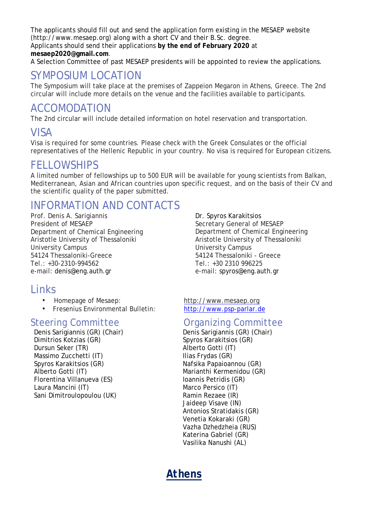The applicants should fill out and send the application form existing in the MESAEP website (http://www.mesaep.org) along with a short CV and their B.Sc. degree.

Applicants should send their applications **by the end of February 2020** at **mesaep2020@gmail.com**.

A Selection Committee of past MESAEP presidents will be appointed to review the applications.

#### SYMPOSIUM LOCATION

The Symposium will take place at the premises of Zappeion Megaron in Athens, Greece. The 2nd circular will include more details on the venue and the facilities available to participants.

#### ACCOMODATION

The 2nd circular will include detailed information on hotel reservation and transportation.

#### VISA

Visa is required for some countries. Please check with the Greek Consulates or the official representatives of the Hellenic Republic in your country. No visa is required for European citizens.

#### **FELLOWSHIPS**

A limited number of fellowships up to 500 EUR will be available for young scientists from Balkan, Mediterranean, Asian and African countries upon specific request, and on the basis of their CV and the scientific quality of the paper submitted.

#### INFORMATION AND CONTACTS

Prof. Denis A. Sarigiannis President of MESAEP Department of Chemical Engineering Aristotle University of Thessaloniki University Campus 54124 Thessaloniki-Greece Tel.: +30-2310-994562 e-mail: denis@eng.auth.gr

#### Links

- 
- $\cdot$  Fresenius Environmental Bulletin:

Denis Sarigiannis (GR) (Chair) Dimitrios Kotzias (GR) Spyros Karakitsios (GR) Dursun Seker (TR) and Alberto Gotti (IT) Massimo Zucchetti (IT) and in the Ilias Frydas (GR) Spyros Karakitsios (GR) Nafsika Papaioannou (GR) Alberto Gotti (IT) Marianthi Kermenidou (GR) Florentina Villanueva (ES) Ioannis Petridis (GR) Laura Mancini (IT) Marco Persico (IT) Sani Dimitroulopoulou (UK) Ramin Rezaee (IR)

Dr. Spyros Karakitsios Secretary General of MESAEP Department of Chemical Engineering Aristotle University of Thessaloniki University Campus 54124 Thessaloniki - Greece Tel.: +30 2310 996225 e-mail: spyros@eng.auth.gr

• Homepage of Mesaep: [http://www.mesaep.org](http://www.mesaep.org/)<br>• Fresenius Environmental Bulletin: http://www.psp-parlar.de

# Steering Committee Organizing Committee

Jaideep Visave (IN) Antonios Stratidakis (GR) Venetia Kokaraki (GR) Vazha Dzhedzheia (RUS) Katerina Gabriel (GR) Vasilika Nanushi (AL)

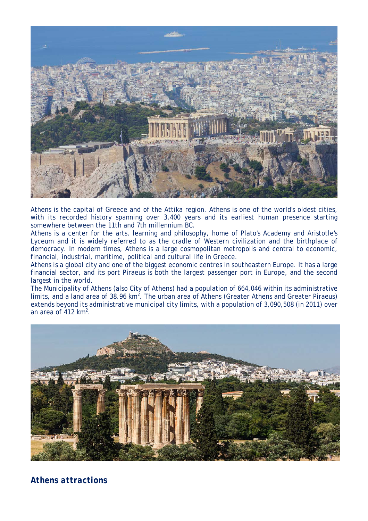

Athens is the capital of Greece and of the Attika region. Athens is one of the world's oldest cities, with its recorded history spanning over 3,400 years and its earliest human presence starting somewhere between the 11th and 7th millennium BC.

Athens is a center for the arts, learning and philosophy, home of Plato's Academy and Aristotle's Lyceum and it is widely referred to as the cradle of Western civilization and the birthplace of democracy. In modern times, Athens is a large cosmopolitan metropolis and central to economic, financial, industrial, maritime, political and cultural life in Greece.

Athens is a global city and one of the biggest economic centres in southeastern Europe. It has a large financial sector, and its port Piraeus is both the largest passenger port in Europe, and the second largest in the world.

The Municipality of Athens (also City of Athens) had a population of 664,046 within its administrative limits, and a land area of 38.96  $km^2$ . The urban area of Athens (Greater Athens and Greater Piraeus) extends beyond its administrative municipal city limits, with a population of 3,090,508 (in 2011) over an area of 412 km<sup>2</sup>.



#### *Athens attractions*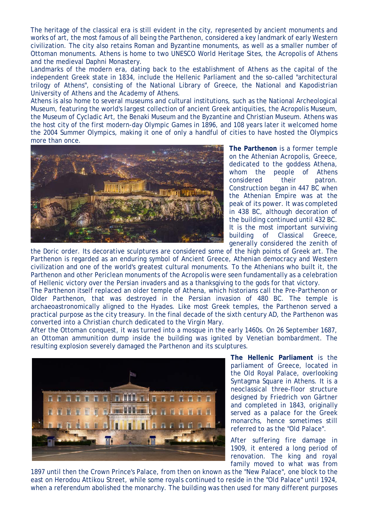The heritage of the classical era is still evident in the city, represented by ancient monuments and works of art, the most famous of all being the Parthenon, considered a key landmark of early Western civilization. The city also retains Roman and Byzantine monuments, as well as a smaller number of Ottoman monuments. Athens is home to two UNESCO World Heritage Sites, the Acropolis of Athens and the medieval Daphni Monastery.

Landmarks of the modern era, dating back to the establishment of Athens as the capital of the independent Greek state in 1834, include the Hellenic Parliament and the so-called "architectural trilogy of Athens", consisting of the National Library of Greece, the National and Kapodistrian University of Athens and the Academy of Athens.

Athens is also home to several museums and cultural institutions, such as the National Archeological Museum, featuring the world's largest collection of ancient Greek antiquities, the Acropolis Museum, the Museum of Cycladic Art, the Benaki Museum and the Byzantine and Christian Museum. Athens was the host city of the first modern-day Olympic Games in 1896, and 108 years later it welcomed home the 2004 Summer Olympics, making it one of only a handful of cities to have hosted the Olympics more than once.



**The Parthenon** is a former temple on the Athenian Acropolis, Greece, dedicated to the goddess Athena, whom the people of Athens considered their patron. Construction began in 447 BC when the Athenian Empire was at the peak of its power. It was completed in 438 BC, although decoration of the building continued until 432 BC. It is the most important surviving building of Classical Greece, generally considered the zenith of

the Doric order. Its decorative sculptures are considered some of the high points of Greek art. The Parthenon is regarded as an enduring symbol of Ancient Greece, Athenian democracy and Western civilization and one of the world's greatest cultural monuments. To the Athenians who built it, the Parthenon and other Periclean monuments of the Acropolis were seen fundamentally as a celebration of Hellenic victory over the Persian invaders and as a thanksgiving to the gods for that victory.

The Parthenon itself replaced an older temple of Athena, which historians call the Pre-Parthenon or Older Parthenon, that was destroyed in the Persian invasion of 480 BC. The temple is archaeoastronomically aligned to the Hyades. Like most Greek temples, the Parthenon served a practical purpose as the city treasury. In the final decade of the sixth century AD, the Parthenon was converted into a Christian church dedicated to the Virgin Mary.

After the Ottoman conquest, it was turned into a mosque in the early 1460s. On 26 September 1687, an Ottoman ammunition dump inside the building was ignited by Venetian bombardment. The resulting explosion severely damaged the Parthenon and its sculptures.



**The Hellenic Parliament** is the parliament of Greece, located in the Old Royal Palace, overlooking Syntagma Square in Athens. It is a neoclassical three-floor structure designed by Friedrich von Gärtner and completed in 1843, originally served as a palace for the Greek monarchs, hence sometimes still referred to as the "Old Palace".

After suffering fire damage in 1909, it entered a long period of renovation. The king and royal family moved to what was from

1897 until then the Crown Prince's Palace, from then on known as the "New Palace", one block to the east on Herodou Attikou Street, while some royals continued to reside in the "Old Palace" until 1924, when a referendum abolished the monarchy. The building was then used for many different purposes